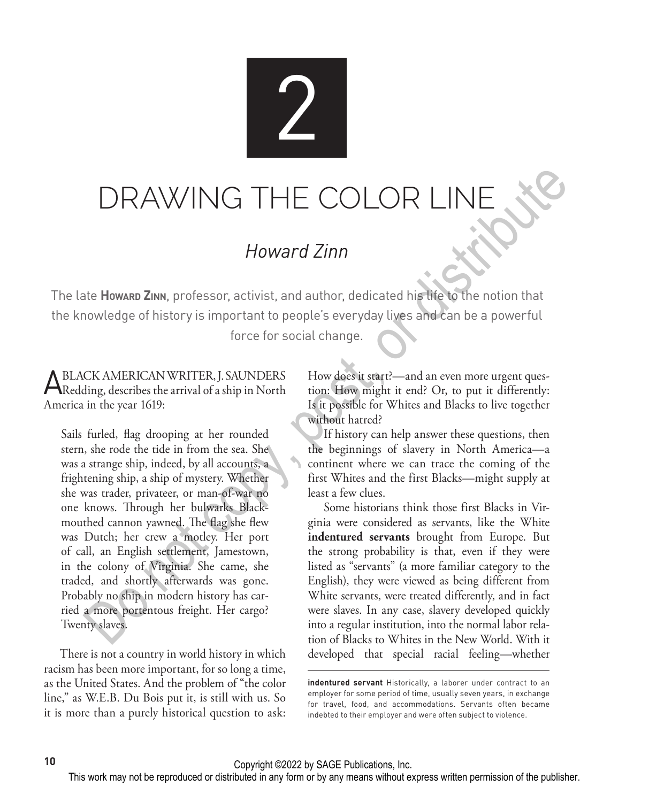## 2

## DRAWING THE COLOR LINE

## *Howard Zinn*

The late **Howard Zinn**, professor, activist, and author, dedicated his life to the notion that the knowledge of history is important to people's everyday lives and can be a powerful

force for social change.

A BLACK AMERICAN WRITER, J. SAUNDERS Redding, describes the arrival of a ship in North America in the year 1619:

Sails furled, flag drooping at her rounded stern, she rode the tide in from the sea. She was a strange ship, indeed, by all accounts, a frightening ship, a ship of mystery. Whether she was trader, privateer, or man-of-war no one knows. Through her bulwarks Blackmouthed cannon yawned. The flag she flew was Dutch; her crew a motley. Her port of call, an English settlement, Jamestown, in the colony of Virginia. She came, she traded, and shortly afterwards was gone. Probably no ship in modern history has carried a more portentous freight. Her cargo? Twenty slaves. DRAWING THE COLOR LINE<br>
Howard Zinn<br>
Howard Zinn<br>
the Howard Zinn<br>
the Howard Zinn<br>
the Howard Zinn<br>
the Noward Zinn<br>
the Noward Zinn<br>
the notice for social change.<br>
CK AMERICANWRITER, J.SAUNDERS<br>
the note of the social c

There is not a country in world history in which racism has been more important, for so long a time, as the United States. And the problem of "the color line," as W.E.B. Du Bois put it, is still with us. So it is more than a purely historical question to ask:

**10**

How does it start?—and an even more urgent question: How might it end? Or, to put it differently: Is it possible for Whites and Blacks to live together without hatred?

If history can help answer these questions, then the beginnings of slavery in North America—a continent where we can trace the coming of the first Whites and the first Blacks—might supply at least a few clues.

Some historians think those first Blacks in Virginia were considered as servants, like the White **indentured servants** brought from Europe. But the strong probability is that, even if they were listed as "servants" (a more familiar category to the English), they were viewed as being different from White servants, were treated differently, and in fact were slaves. In any case, slavery developed quickly into a regular institution, into the normal labor relation of Blacks to Whites in the New World. With it developed that special racial feeling—whether

**indentured servant** Historically, a laborer under contract to an employer for some period of time, usually seven years, in exchange for travel, food, and accommodations. Servants often became indebted to their employer and were often subject to violence.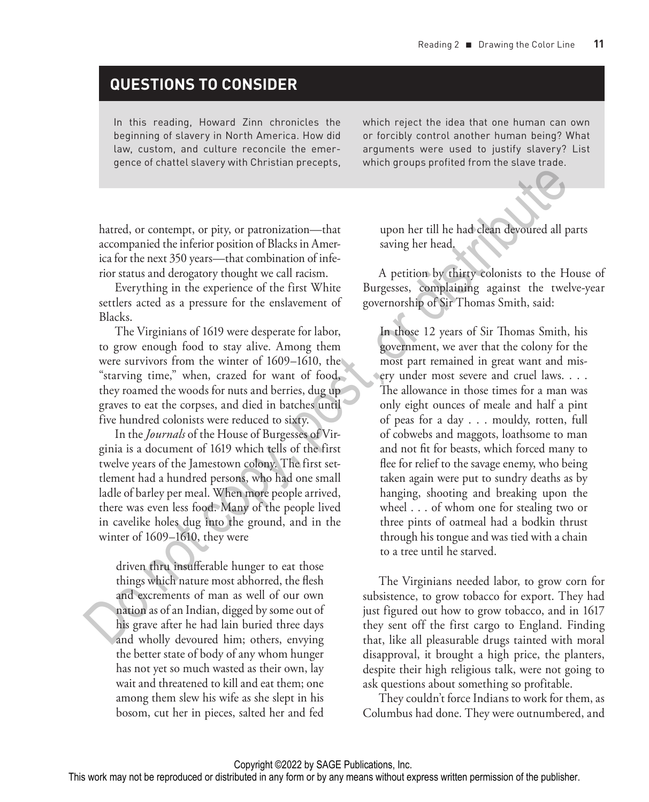## **QUESTIONS TO CONSIDER**

In this reading, Howard Zinn chronicles the beginning of slavery in North America. How did law, custom, and culture reconcile the emergence of chattel slavery with Christian precepts, which reject the idea that one human can own or forcibly control another human being? What arguments were used to justify slavery? List which groups profited from the slave trade.

hatred, or contempt, or pity, or patronization—that accompanied the inferior position of Blacks in America for the next 350 years—that combination of inferior status and derogatory thought we call racism.

Everything in the experience of the first White settlers acted as a pressure for the enslavement of Blacks.

The Virginians of 1619 were desperate for labor, to grow enough food to stay alive. Among them were survivors from the winter of 1609–1610, the "starving time," when, crazed for want of food, they roamed the woods for nuts and berries, dug up graves to eat the corpses, and died in batches until five hundred colonists were reduced to sixty.

In the *Journals* of the House of Burgesses of Virginia is a document of 1619 which tells of the first twelve years of the Jamestown colony. The first settlement had a hundred persons, who had one small ladle of barley per meal. When more people arrived, there was even less food. Many of the people lived in cavelike holes dug into the ground, and in the winter of 1609–1610, they were

driven thru insufferable hunger to eat those things which nature most abhorred, the flesh and excrements of man as well of our own nation as of an Indian, digged by some out of his grave after he had lain buried three days and wholly devoured him; others, envying the better state of body of any whom hunger has not yet so much wasted as their own, lay wait and threatened to kill and eat them; one among them slew his wife as she slept in his bosom, cut her in pieces, salted her and fed

upon her till he had clean devoured all parts saving her head.

A petition by thirty colonists to the House of Burgesses, complaining against the twelve-year governorship of Sir Thomas Smith, said:

In those 12 years of Sir Thomas Smith, his government, we aver that the colony for the most part remained in great want and misery under most severe and cruel laws. . . . The allowance in those times for a man was only eight ounces of meale and half a pint of peas for a day . . . mouldy, rotten, full of cobwebs and maggots, loathsome to man and not fit for beasts, which forced many to flee for relief to the savage enemy, who being taken again were put to sundry deaths as by hanging, shooting and breaking upon the wheel . . . of whom one for stealing two or three pints of oatmeal had a bodkin thrust through his tongue and was tied with a chain to a tree until he starved. and the priori of priori is a second model of the metallic theorem is a second and the metallic metallic metallic metallic metallic metallic metallic metallic metallic metallic metallic metallic metallic metallic metallic

The Virginians needed labor, to grow corn for subsistence, to grow tobacco for export. They had just figured out how to grow tobacco, and in 1617 they sent off the first cargo to England. Finding that, like all pleasurable drugs tainted with moral disapproval, it brought a high price, the planters, despite their high religious talk, were not going to ask questions about something so profitable.

They couldn't force Indians to work for them, as Columbus had done. They were outnumbered, and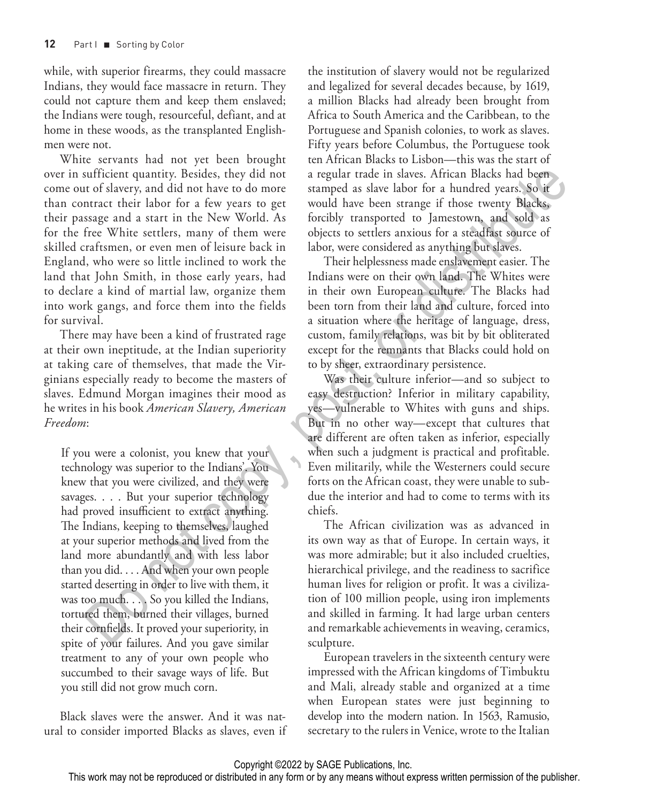while, with superior firearms, they could massacre Indians, they would face massacre in return. They could not capture them and keep them enslaved; the Indians were tough, resourceful, defiant, and at home in these woods, as the transplanted Englishmen were not.

White servants had not yet been brought over in sufficient quantity. Besides, they did not come out of slavery, and did not have to do more than contract their labor for a few years to get their passage and a start in the New World. As for the free White settlers, many of them were skilled craftsmen, or even men of leisure back in England, who were so little inclined to work the land that John Smith, in those early years, had to declare a kind of martial law, organize them into work gangs, and force them into the fields for survival.

There may have been a kind of frustrated rage at their own ineptitude, at the Indian superiority at taking care of themselves, that made the Virginians especially ready to become the masters of slaves. Edmund Morgan imagines their mood as he writes in his book *American Slavery, American Freedom*:

If you were a colonist, you knew that your technology was superior to the Indians'. You knew that you were civilized, and they were savages. . . . But your superior technology had proved insufficient to extract anything. The Indians, keeping to themselves, laughed at your superior methods and lived from the land more abundantly and with less labor than you did. . . . And when your own people started deserting in order to live with them, it was too much. . . . So you killed the Indians, tortured them, burned their villages, burned their cornfields. It proved your superiority, in spite of your failures. And you gave similar treatment to any of your own people who succumbed to their savage ways of life. But you still did not grow much corn. sufficient quantity. Besides, they did not a regular rude in slaves. African Blacks had been<br>surract their habor for a few years to get would have been strange if those twenty Blacks,<br>sagge and a start in the New World. A

Black slaves were the answer. And it was natural to consider imported Blacks as slaves, even if

the institution of slavery would not be regularized and legalized for several decades because, by 1619, a million Blacks had already been brought from Africa to South America and the Caribbean, to the Portuguese and Spanish colonies, to work as slaves. Fifty years before Columbus, the Portuguese took ten African Blacks to Lisbon—this was the start of a regular trade in slaves. African Blacks had been stamped as slave labor for a hundred years. So it would have been strange if those twenty Blacks, forcibly transported to Jamestown, and sold as objects to settlers anxious for a steadfast source of labor, were considered as anything but slaves.

Their helplessness made enslavement easier. The Indians were on their own land. The Whites were in their own European culture. The Blacks had been torn from their land and culture, forced into a situation where the heritage of language, dress, custom, family relations, was bit by bit obliterated except for the remnants that Blacks could hold on to by sheer, extraordinary persistence.

Was their culture inferior—and so subject to easy destruction? Inferior in military capability, yes—vulnerable to Whites with guns and ships. But in no other way—except that cultures that are different are often taken as inferior, especially when such a judgment is practical and profitable. Even militarily, while the Westerners could secure forts on the African coast, they were unable to subdue the interior and had to come to terms with its chiefs.

The African civilization was as advanced in its own way as that of Europe. In certain ways, it was more admirable; but it also included cruelties, hierarchical privilege, and the readiness to sacrifice human lives for religion or profit. It was a civilization of 100 million people, using iron implements and skilled in farming. It had large urban centers and remarkable achievements in weaving, ceramics, sculpture.

European travelers in the sixteenth century were impressed with the African kingdoms of Timbuktu and Mali, already stable and organized at a time when European states were just beginning to develop into the modern nation. In 1563, Ramusio, secretary to the rulers in Venice, wrote to the Italian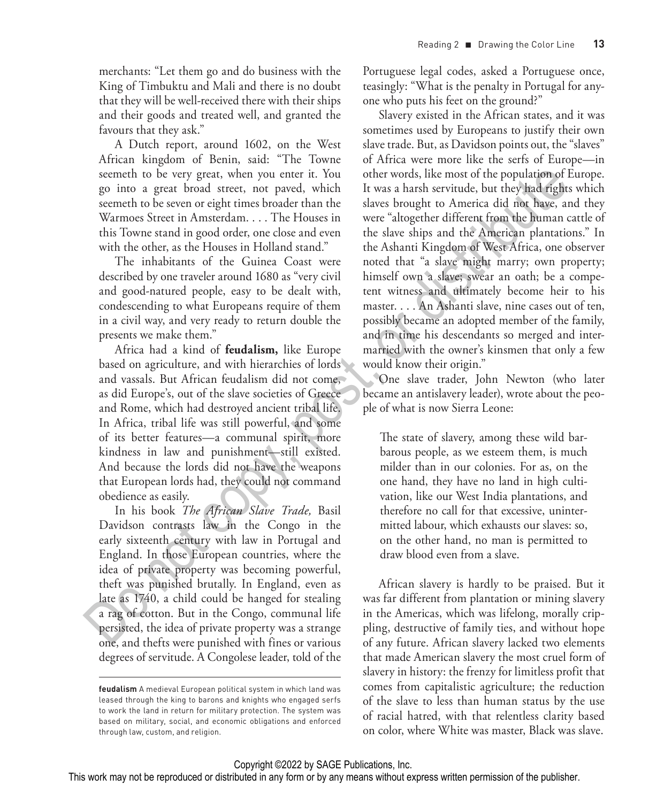merchants: "Let them go and do business with the King of Timbuktu and Mali and there is no doubt that they will be well-received there with their ships and their goods and treated well, and granted the favours that they ask."

A Dutch report, around 1602, on the West African kingdom of Benin, said: "The Towne seemeth to be very great, when you enter it. You go into a great broad street, not paved, which seemeth to be seven or eight times broader than the Warmoes Street in Amsterdam. . . . The Houses in this Towne stand in good order, one close and even with the other, as the Houses in Holland stand."

The inhabitants of the Guinea Coast were described by one traveler around 1680 as "very civil and good-natured people, easy to be dealt with, condescending to what Europeans require of them in a civil way, and very ready to return double the presents we make them."

Africa had a kind of **feudalism,** like Europe based on agriculture, and with hierarchies of lords and vassals. But African feudalism did not come, as did Europe's, out of the slave societies of Greece and Rome, which had destroyed ancient tribal life. In Africa, tribal life was still powerful, and some of its better features—a communal spirit, more kindness in law and punishment—still existed. And because the lords did not have the weapons that European lords had, they could not command obedience as easily.

In his book *The African Slave Trade,* Basil Davidson contrasts law in the Congo in the early sixteenth century with law in Portugal and England. In those European countries, where the idea of private property was becoming powerful, theft was punished brutally. In England, even as late as 1740, a child could be hanged for stealing a rag of cotton. But in the Congo, communal life persisted, the idea of private property was a strange one, and thefts were punished with fines or various degrees of servitude. A Congolese leader, told of the

Portuguese legal codes, asked a Portuguese once, teasingly: "What is the penalty in Portugal for anyone who puts his feet on the ground?"

Slavery existed in the African states, and it was sometimes used by Europeans to justify their own slave trade. But, as Davidson points out, the "slaves" of Africa were more like the serfs of Europe—in other words, like most of the population of Europe. It was a harsh servitude, but they had rights which slaves brought to America did not have, and they were "altogether different from the human cattle of the slave ships and the American plantations." In the Ashanti Kingdom of West Africa, one observer noted that "a slave might marry; own property; himself own a slave; swear an oath; be a competent witness and ultimately become heir to his master. . . . An Ashanti slave, nine cases out of ten, possibly became an adopted member of the family, and in time his descendants so merged and intermarried with the owner's kinsmen that only a few would know their origin." seement to be very geta, when you ener it. You other words, like most of the population of the spin and spectral of several of several of several of several of several of several of several of several contents. The Housse

One slave trader, John Newton (who later became an antislavery leader), wrote about the people of what is now Sierra Leone:

The state of slavery, among these wild barbarous people, as we esteem them, is much milder than in our colonies. For as, on the one hand, they have no land in high cultivation, like our West India plantations, and therefore no call for that excessive, unintermitted labour, which exhausts our slaves: so, on the other hand, no man is permitted to draw blood even from a slave.

African slavery is hardly to be praised. But it was far different from plantation or mining slavery in the Americas, which was lifelong, morally crippling, destructive of family ties, and without hope of any future. African slavery lacked two elements that made American slavery the most cruel form of slavery in history: the frenzy for limitless profit that comes from capitalistic agriculture; the reduction of the slave to less than human status by the use of racial hatred, with that relentless clarity based on color, where White was master, Black was slave.

**feudalism** A medieval European political system in which land was leased through the king to barons and knights who engaged serfs to work the land in return for military protection. The system was based on military, social, and economic obligations and enforced through law, custom, and religion.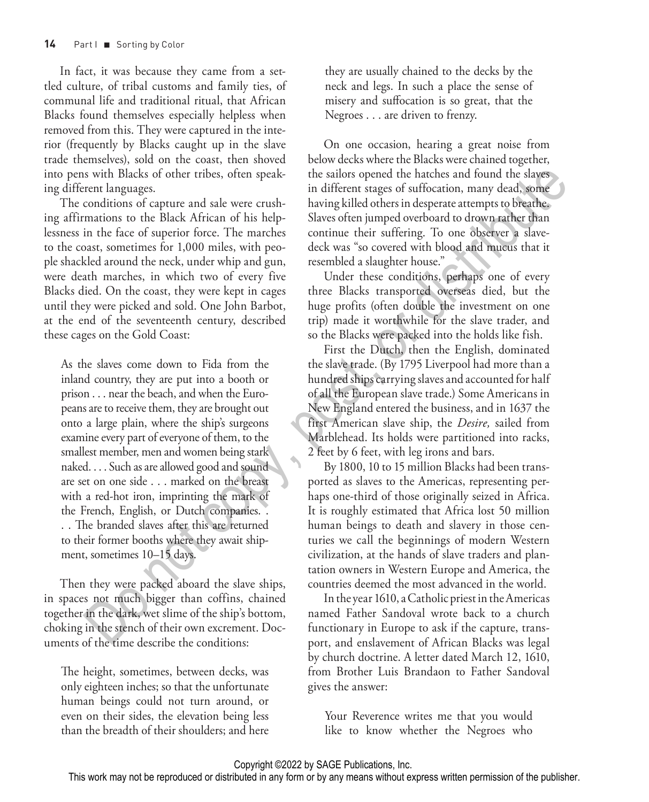In fact, it was because they came from a settled culture, of tribal customs and family ties, of communal life and traditional ritual, that African Blacks found themselves especially helpless when removed from this. They were captured in the interior (frequently by Blacks caught up in the slave trade themselves), sold on the coast, then shoved into pens with Blacks of other tribes, often speaking different languages.

The conditions of capture and sale were crushing affirmations to the Black African of his helplessness in the face of superior force. The marches to the coast, sometimes for 1,000 miles, with people shackled around the neck, under whip and gun, were death marches, in which two of every five Blacks died. On the coast, they were kept in cages until they were picked and sold. One John Barbot, at the end of the seventeenth century, described these cages on the Gold Coast:

As the slaves come down to Fida from the inland country, they are put into a booth or prison . . . near the beach, and when the Europeans are to receive them, they are brought out onto a large plain, where the ship's surgeons examine every part of everyone of them, to the smallest member, men and women being stark naked. . . . Such as are allowed good and sound are set on one side . . . marked on the breast with a red-hot iron, imprinting the mark of the French, English, or Dutch companies. . . . The branded slaves after this are returned to their former booths where they await shipment, sometimes 10–15 days. s with Blacks of the relievant of the sample the subset of the trees and found the slages.<br>
The matters are of surfricting matters and found the slages of surfricting matters or the Black Ayem<br>
conditions of copy are cond

Then they were packed aboard the slave ships, in spaces not much bigger than coffins, chained together in the dark, wet slime of the ship's bottom, choking in the stench of their own excrement. Documents of the time describe the conditions:

The height, sometimes, between decks, was only eighteen inches; so that the unfortunate human beings could not turn around, or even on their sides, the elevation being less than the breadth of their shoulders; and here

they are usually chained to the decks by the neck and legs. In such a place the sense of misery and suffocation is so great, that the Negroes . . . are driven to frenzy.

On one occasion, hearing a great noise from below decks where the Blacks were chained together, the sailors opened the hatches and found the slaves in different stages of suffocation, many dead, some having killed others in desperate attempts to breathe. Slaves often jumped overboard to drown rather than continue their suffering. To one observer a slavedeck was "so covered with blood and mucus that it resembled a slaughter house."

Under these conditions, perhaps one of every three Blacks transported overseas died, but the huge profits (often double the investment on one trip) made it worthwhile for the slave trader, and so the Blacks were packed into the holds like fish.

First the Dutch, then the English, dominated the slave trade. (By 1795 Liverpool had more than a hundred ships carrying slaves and accounted for half of all the European slave trade.) Some Americans in New England entered the business, and in 1637 the first American slave ship, the *Desire,* sailed from Marblehead. Its holds were partitioned into racks, 2 feet by 6 feet, with leg irons and bars.

By 1800, 10 to 15 million Blacks had been transported as slaves to the Americas, representing perhaps one-third of those originally seized in Africa. It is roughly estimated that Africa lost 50 million human beings to death and slavery in those centuries we call the beginnings of modern Western civilization, at the hands of slave traders and plantation owners in Western Europe and America, the countries deemed the most advanced in the world.

In the year 1610, a Catholic priest in the Americas named Father Sandoval wrote back to a church functionary in Europe to ask if the capture, transport, and enslavement of African Blacks was legal by church doctrine. A letter dated March 12, 1610, from Brother Luis Brandaon to Father Sandoval gives the answer:

Your Reverence writes me that you would like to know whether the Negroes who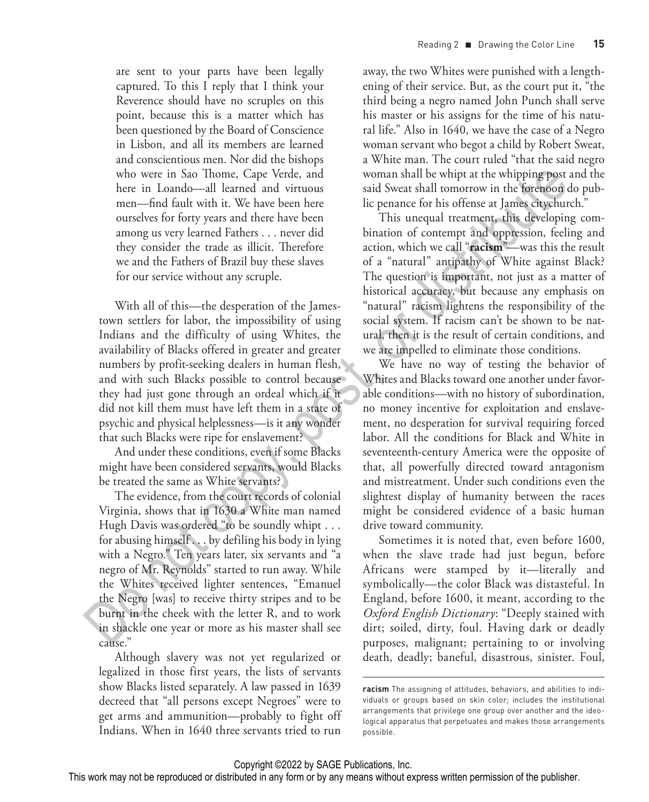are sent to your parts have been legally captured. To this I reply that I think your Reverence should have no scruples on this point, because this is a matter which has been questioned by the Board of Conscience in Lisbon, and all its members are learned and conscientious men. Nor did the bishops who were in Sao Thome, Cape Verde, and here in Loando—all learned and virtuous men—find fault with it. We have been here ourselves for forty years and there have been among us very learned Fathers . . . never did they consider the trade as illicit. Therefore we and the Fathers of Brazil buy these slaves for our service without any scruple.

With all of this—the desperation of the Jamestown settlers for labor, the impossibility of using Indians and the difficulty of using Whites, the availability of Blacks offered in greater and greater numbers by profit-seeking dealers in human flesh, and with such Blacks possible to control because they had just gone through an ordeal which if it did not kill them must have left them in a state of psychic and physical helplessness—is it any wonder that such Blacks were ripe for enslavement?

And under these conditions, even if some Blacks might have been considered servants, would Blacks be treated the same as White servants?

The evidence, from the court records of colonial Virginia, shows that in 1630 a White man named Hugh Davis was ordered "to be soundly whipt . . . for abusing himself . . . by defiling his body in lying with a Negro." Ten years later, six servants and "a negro of Mr. Reynolds" started to run away. While the Whites received lighter sentences, "Emanuel the Negro [was] to receive thirty stripes and to be burnt in the cheek with the letter R, and to work in shackle one year or more as his master shall see cause." who we in Sao Thmos, Cape Verde, and the whip at he value in Sao Thmos There in Loando—all learned and virtuous<br>method method method method method method method method method method method method method method method meth

Although slavery was not yet regularized or legalized in those first years, the lists of servants show Blacks listed separately. A law passed in 1639 decreed that "all persons except Negroes" were to get arms and ammunition—probably to fight off Indians. When in 1640 three servants tried to run

away, the two Whites were punished with a lengthening of their service. But, as the court put it, "the third being a negro named John Punch shall serve his master or his assigns for the time of his natural life." Also in 1640, we have the case of a Negro woman servant who begot a child by Robert Sweat, a White man. The court ruled "that the said negro woman shall be whipt at the whipping post and the said Sweat shall tomorrow in the forenoon do public penance for his offense at James citychurch."

This unequal treatment, this developing combination of contempt and oppression, feeling and action, which we call "**racism**"—was this the result of a "natural" antipathy of White against Black? The question is important, not just as a matter of historical accuracy, but because any emphasis on "natural" racism lightens the responsibility of the social system. If racism can't be shown to be natural, then it is the result of certain conditions, and we are impelled to eliminate those conditions.

We have no way of testing the behavior of Whites and Blacks toward one another under favorable conditions—with no history of subordination, no money incentive for exploitation and enslavement, no desperation for survival requiring forced labor. All the conditions for Black and White in seventeenth-century America were the opposite of that, all powerfully directed toward antagonism and mistreatment. Under such conditions even the slightest display of humanity between the races might be considered evidence of a basic human drive toward community.

Sometimes it is noted that, even before 1600, when the slave trade had just begun, before Africans were stamped by it—literally and symbolically—the color Black was distasteful. In England, before 1600, it meant, according to the *Oxford English Dictionary*: "Deeply stained with dirt; soiled, dirty, foul. Having dark or deadly purposes, malignant; pertaining to or involving death, deadly; baneful, disastrous, sinister. Foul,

**racism** The assigning of attitudes, behaviors, and abilities to individuals or groups based on skin color; includes the institutional arrangements that privilege one group over another and the ideological apparatus that perpetuates and makes those arrangements possible.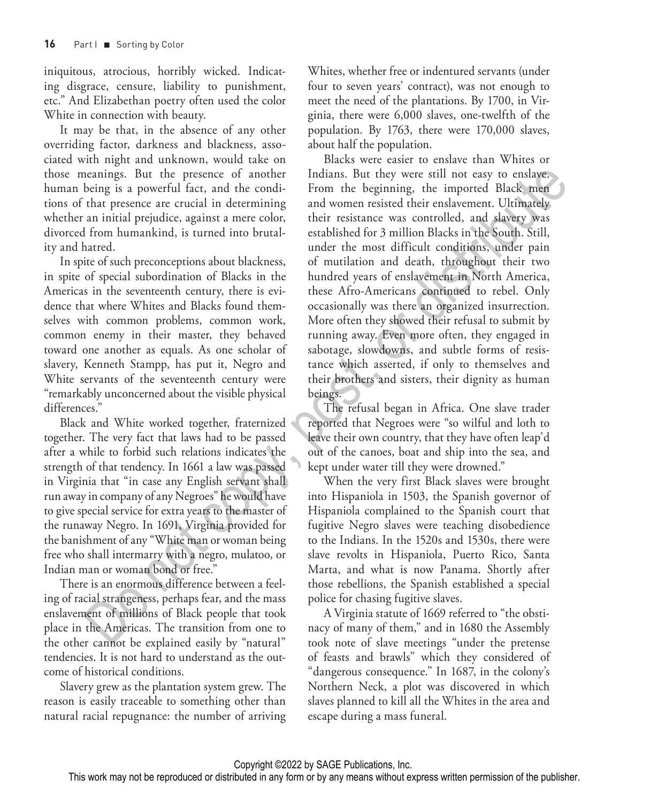iniquitous, atrocious, horribly wicked. Indicating disgrace, censure, liability to punishment, etc." And Elizabethan poetry often used the color White in connection with beauty.

It may be that, in the absence of any other overriding factor, darkness and blackness, associated with night and unknown, would take on those meanings. But the presence of another human being is a powerful fact, and the conditions of that presence are crucial in determining whether an initial prejudice, against a mere color, divorced from humankind, is turned into brutality and hatred.

In spite of such preconceptions about blackness, in spite of special subordination of Blacks in the Americas in the seventeenth century, there is evidence that where Whites and Blacks found themselves with common problems, common work, common enemy in their master, they behaved toward one another as equals. As one scholar of slavery, Kenneth Stampp, has put it, Negro and White servants of the seventeenth century were "remarkably unconcerned about the visible physical differences."

Black and White worked together, fraternized together. The very fact that laws had to be passed after a while to forbid such relations indicates the strength of that tendency. In 1661 a law was passed in Virginia that "in case any English servant shall run away in company of any Negroes" he would have to give special service for extra years to the master of the runaway Negro. In 1691, Virginia provided for the banishment of any "White man or woman being free who shall intermarry with a negro, mulatoo, or Indian man or woman bond or free."

There is an enormous difference between a feeling of racial strangeness, perhaps fear, and the mass enslavement of millions of Black people that took place in the Americas. The transition from one to the other cannot be explained easily by "natural" tendencies. It is not hard to understand as the outcome of historical conditions.

Slavery grew as the plantation system grew. The reason is easily traceable to something other than natural racial repugnance: the number of arriving

Whites, whether free or indentured servants (under four to seven years' contract), was not enough to meet the need of the plantations. By 1700, in Virginia, there were 6,000 slaves, one-twelfth of the population. By 1763, there were 170,000 slaves, about half the population.

Blacks were easier to enslave than Whites or Indians. But they were still not easy to enslave. From the beginning, the imported Black men and women resisted their enslavement. Ultimately their resistance was controlled, and slavery was established for 3 million Blacks in the South. Still, under the most difficult conditions, under pain of mutilation and death, throughout their two hundred years of enslavement in North America, these Afro-Americans continued to rebel. Only occasionally was there an organized insurrection. More often they showed their refusal to submit by running away. Even more often, they engaged in sabotage, slowdowns, and subtle forms of resistance which asserted, if only to themselves and their brothers and sisters, their dignity as human beings. nearing. But the presence of another Indians. But they were sill not easy to ensigned in the presence of another since the beginning, the imported Black, more that presence are crucial in determining and women resisted the

The refusal began in Africa. One slave trader reported that Negroes were "so wilful and loth to leave their own country, that they have often leap'd out of the canoes, boat and ship into the sea, and kept under water till they were drowned."

When the very first Black slaves were brought into Hispaniola in 1503, the Spanish governor of Hispaniola complained to the Spanish court that fugitive Negro slaves were teaching disobedience to the Indians. In the 1520s and 1530s, there were slave revolts in Hispaniola, Puerto Rico, Santa Marta, and what is now Panama. Shortly after those rebellions, the Spanish established a special police for chasing fugitive slaves.

A Virginia statute of 1669 referred to "the obstinacy of many of them," and in 1680 the Assembly took note of slave meetings "under the pretense of feasts and brawls" which they considered of "dangerous consequence." In 1687, in the colony's Northern Neck, a plot was discovered in which slaves planned to kill all the Whites in the area and escape during a mass funeral.

This work may not be reproduced or distributed in any form or by any means without express written permission of the publisher.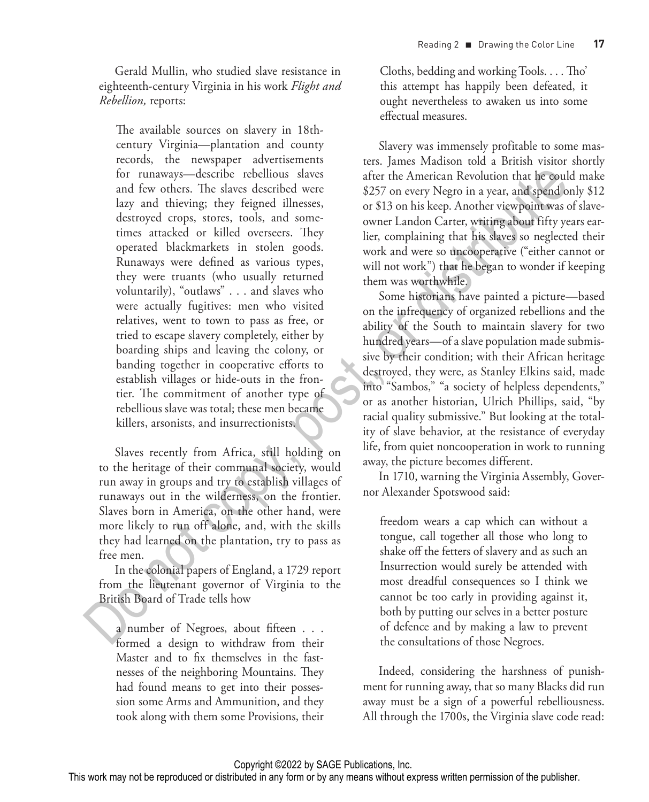Gerald Mullin, who studied slave resistance in eighteenth-century Virginia in his work *Flight and Rebellion,* reports:

The available sources on slavery in 18thcentury Virginia—plantation and county records, the newspaper advertisements for runaways—describe rebellious slaves and few others. The slaves described were lazy and thieving; they feigned illnesses, destroyed crops, stores, tools, and sometimes attacked or killed overseers. They operated blackmarkets in stolen goods. Runaways were defined as various types, they were truants (who usually returned voluntarily), "outlaws" . . . and slaves who were actually fugitives: men who visited relatives, went to town to pass as free, or tried to escape slavery completely, either by boarding ships and leaving the colony, or banding together in cooperative efforts to establish villages or hide-outs in the frontier. The commitment of another type of rebellious slave was total; these men became killers, arsonists, and insurrectionists. for runaway-describe relations shares are the American Revolution that is could as a differ the American Revolution that is could have the startyde copy, sorets, tools, and some come Landon Carter, whiten as a measure of

Slaves recently from Africa, still holding on to the heritage of their communal society, would run away in groups and try to establish villages of runaways out in the wilderness, on the frontier. Slaves born in America, on the other hand, were more likely to run off alone, and, with the skills they had learned on the plantation, try to pass as free men.

In the colonial papers of England, a 1729 report from the lieutenant governor of Virginia to the British Board of Trade tells how

a number of Negroes, about fifteen . . . formed a design to withdraw from their Master and to fix themselves in the fastnesses of the neighboring Mountains. They had found means to get into their possession some Arms and Ammunition, and they took along with them some Provisions, their

Cloths, bedding and working Tools. . . . Tho' this attempt has happily been defeated, it ought nevertheless to awaken us into some effectual measures.

Slavery was immensely profitable to some masters. James Madison told a British visitor shortly after the American Revolution that he could make \$257 on every Negro in a year, and spend only \$12 or \$13 on his keep. Another viewpoint was of slaveowner Landon Carter, writing about fifty years earlier, complaining that his slaves so neglected their work and were so uncooperative ("either cannot or will not work") that he began to wonder if keeping them was worthwhile.

Some historians have painted a picture—based on the infrequency of organized rebellions and the ability of the South to maintain slavery for two hundred years—of a slave population made submissive by their condition; with their African heritage destroyed, they were, as Stanley Elkins said, made into "Sambos," "a society of helpless dependents," or as another historian, Ulrich Phillips, said, "by racial quality submissive." But looking at the totality of slave behavior, at the resistance of everyday life, from quiet noncooperation in work to running away, the picture becomes different.

In 1710, warning the Virginia Assembly, Governor Alexander Spotswood said:

freedom wears a cap which can without a tongue, call together all those who long to shake off the fetters of slavery and as such an Insurrection would surely be attended with most dreadful consequences so I think we cannot be too early in providing against it, both by putting our selves in a better posture of defence and by making a law to prevent the consultations of those Negroes.

Indeed, considering the harshness of punishment for running away, that so many Blacks did run away must be a sign of a powerful rebelliousness. All through the 1700s, the Virginia slave code read: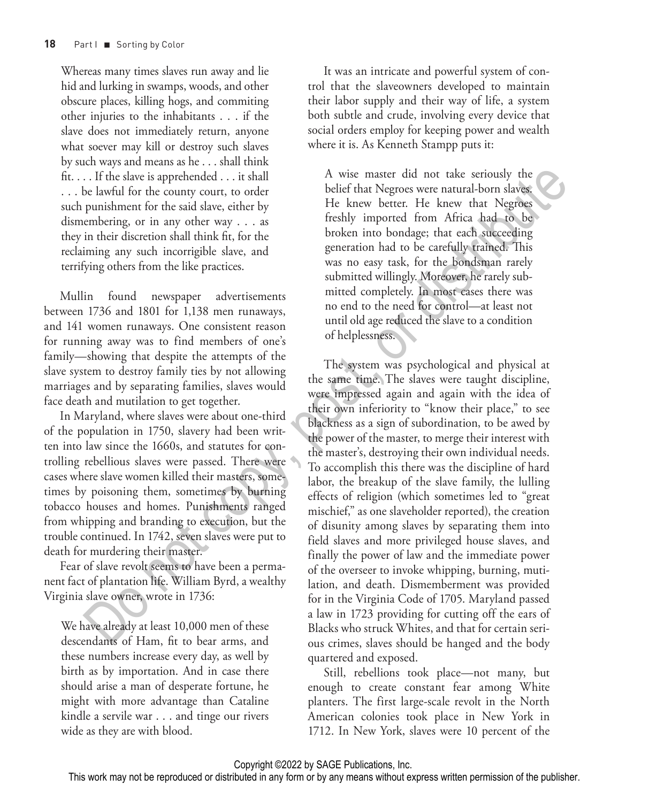Whereas many times slaves run away and lie hid and lurking in swamps, woods, and other obscure places, killing hogs, and commiting other injuries to the inhabitants . . . if the slave does not immediately return, anyone what soever may kill or destroy such slaves by such ways and means as he . . . shall think fit. . . . If the slave is apprehended . . . it shall . . . be lawful for the county court, to order such punishment for the said slave, either by dismembering, or in any other way . . . as they in their discretion shall think fit, for the reclaiming any such incorrigible slave, and terrifying others from the like practices.

Mullin found newspaper advertisements between 1736 and 1801 for 1,138 men runaways, and 141 women runaways. One consistent reason for running away was to find members of one's family—showing that despite the attempts of the slave system to destroy family ties by not allowing marriages and by separating families, slaves would face death and mutilation to get together.

In Maryland, where slaves were about one-third of the population in 1750, slavery had been written into law since the 1660s, and statutes for controlling rebellious slaves were passed. There were cases where slave women killed their masters, sometimes by poisoning them, sometimes by burning tobacco houses and homes. Punishments ranged from whipping and branding to execution, but the trouble continued. In 1742, seven slaves were put to death for murdering their master.

Fear of slave revolt seems to have been a permanent fact of plantation life. William Byrd, a wealthy Virginia slave owner, wrote in 1736:

We have already at least 10,000 men of these descendants of Ham, fit to bear arms, and these numbers increase every day, as well by birth as by importation. And in case there should arise a man of desperate fortune, he might with more advantage than Cataline kindle a servile war . . . and tinge our rivers wide as they are with blood.

It was an intricate and powerful system of control that the slaveowners developed to maintain their labor supply and their way of life, a system both subtle and crude, involving every device that social orders employ for keeping power and wealth where it is. As Kenneth Stampp puts it:

A wise master did not take seriously the belief that Negroes were natural-born slaves. He knew better. He knew that Negroes freshly imported from Africa had to be broken into bondage; that each succeeding generation had to be carefully trained. This was no easy task, for the bondsman rarely submitted willingly. Moreover, he rarely submitted completely. In most cases there was no end to the need for control—at least not until old age reduced the slave to a condition of helplessness.

The system was psychological and physical at the same time. The slaves were taught discipline, were impressed again and again with the idea of their own inferiority to "know their place," to see blackness as a sign of subordination, to be awed by the power of the master, to merge their interest with the master's, destroying their own individual needs. To accomplish this there was the discipline of hard labor, the breakup of the slave family, the lulling effects of religion (which sometimes led to "great mischief," as one slaveholder reported), the creation of disunity among slaves by separating them into field slaves and more privileged house slaves, and finally the power of law and the immediate power of the overseer to invoke whipping, burning, mutilation, and death. Dismemberment was provided for in the Virginia Code of 1705. Maryland passed a law in 1723 providing for cutting off the ears of Blacks who struck Whites, and that for certain serious crimes, slaves should be hanged and the body quartered and exposed. . If the slave is apprehended . . . it shall<br>
A wise master did not take sciencly the<br>
leading the New berefore distribution slaves<br>
punishment for doos usid save, circle by<br>
punishment for the said save, circle by<br>
multi

Still, rebellions took place—not many, but enough to create constant fear among White planters. The first large-scale revolt in the North American colonies took place in New York in 1712. In New York, slaves were 10 percent of the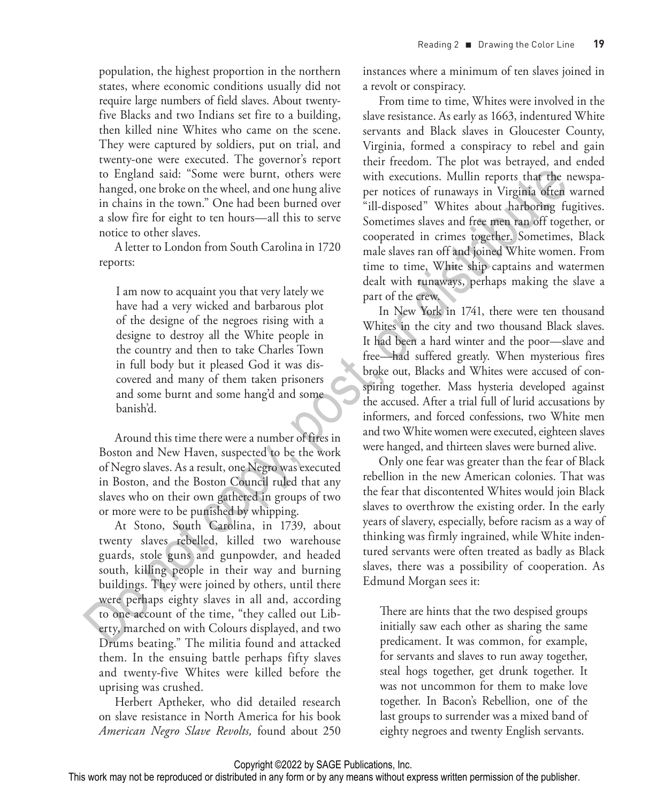population, the highest proportion in the northern states, where economic conditions usually did not require large numbers of field slaves. About twentyfive Blacks and two Indians set fire to a building, then killed nine Whites who came on the scene. They were captured by soldiers, put on trial, and twenty-one were executed. The governor's report to England said: "Some were burnt, others were hanged, one broke on the wheel, and one hung alive in chains in the town." One had been burned over a slow fire for eight to ten hours—all this to serve notice to other slaves.

A letter to London from South Carolina in 1720 reports:

I am now to acquaint you that very lately we have had a very wicked and barbarous plot of the designe of the negroes rising with a designe to destroy all the White people in the country and then to take Charles Town in full body but it pleased God it was discovered and many of them taken prisoners and some burnt and some hang'd and some banish'd.

Around this time there were a number of fires in Boston and New Haven, suspected to be the work of Negro slaves. As a result, one Negro was executed in Boston, and the Boston Council ruled that any slaves who on their own gathered in groups of two or more were to be punished by whipping.

At Stono, South Carolina, in 1739, about twenty slaves rebelled, killed two warehouse guards, stole guns and gunpowder, and headed south, killing people in their way and burning buildings. They were joined by others, until there were perhaps eighty slaves in all and, according to one account of the time, "they called out Liberty, marched on with Colours displayed, and two Drums beating." The militia found and attacked them. In the ensuing battle perhaps fifty slaves and twenty-five Whites were killed before the uprising was crushed. to England said: "Some were burn, others were<br>
ineqland said we show the mean through the comparison of the singula died burnd and<br>
in chains in the town." One had been burned over "ill-disposed" Whites about hand<br>point i

Herbert Aptheker, who did detailed research on slave resistance in North America for his book *American Negro Slave Revolts,* found about 250

instances where a minimum of ten slaves joined in a revolt or conspiracy.

From time to time, Whites were involved in the slave resistance. As early as 1663, indentured White servants and Black slaves in Gloucester County, Virginia, formed a conspiracy to rebel and gain their freedom. The plot was betrayed, and ended with executions. Mullin reports that the newspaper notices of runaways in Virginia often warned "ill-disposed" Whites about harboring fugitives. Sometimes slaves and free men ran off together, or cooperated in crimes together. Sometimes, Black male slaves ran off and joined White women. From time to time, White ship captains and watermen dealt with runaways, perhaps making the slave a part of the crew.

In New York in 1741, there were ten thousand Whites in the city and two thousand Black slaves. It had been a hard winter and the poor—slave and free—had suffered greatly. When mysterious fires broke out, Blacks and Whites were accused of conspiring together. Mass hysteria developed against the accused. After a trial full of lurid accusations by informers, and forced confessions, two White men and two White women were executed, eighteen slaves were hanged, and thirteen slaves were burned alive.

Only one fear was greater than the fear of Black rebellion in the new American colonies. That was the fear that discontented Whites would join Black slaves to overthrow the existing order. In the early years of slavery, especially, before racism as a way of thinking was firmly ingrained, while White indentured servants were often treated as badly as Black slaves, there was a possibility of cooperation. As Edmund Morgan sees it:

There are hints that the two despised groups initially saw each other as sharing the same predicament. It was common, for example, for servants and slaves to run away together, steal hogs together, get drunk together. It was not uncommon for them to make love together. In Bacon's Rebellion, one of the last groups to surrender was a mixed band of eighty negroes and twenty English servants.